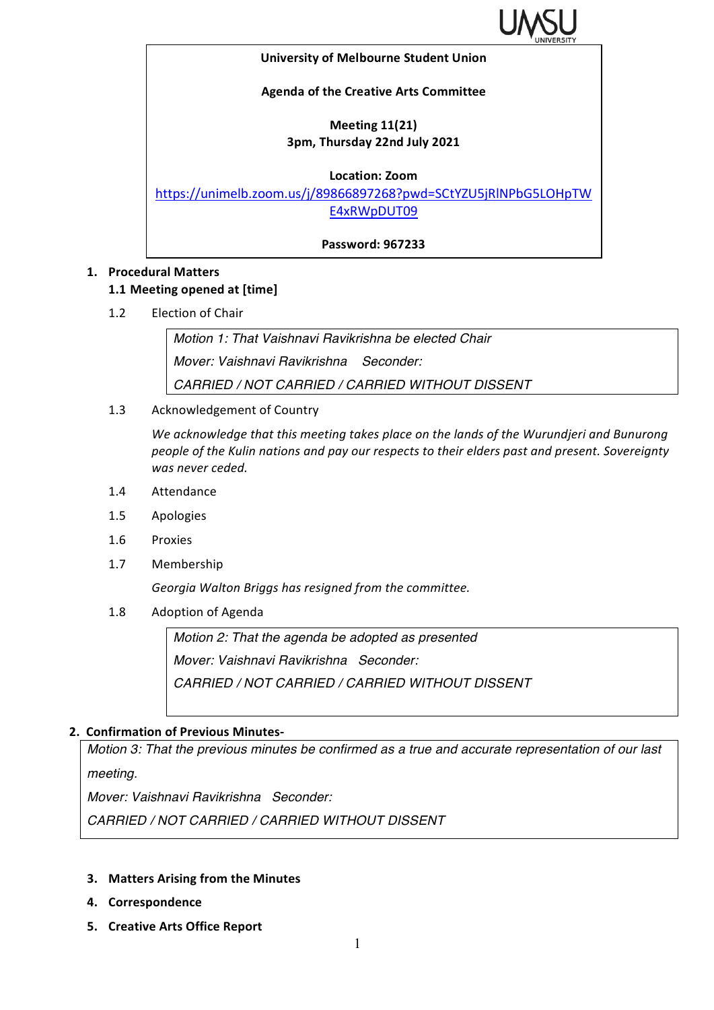

#### **University of Melbourne Student Union**

#### **Agenda of the Creative Arts Committee**

## **Meeting 11(21) 3pm, Thursday 22nd July 2021**

**Location: Zoom**

https://unimelb.zoom.us/j/89866897268?pwd=SCtYZU5jRlNPbG5LOHpTW E4xRWpDUT09

**Password: 967233**

### **1. Procedural Matters**

#### **1.1 Meeting opened at [time]**

1.2 Election of Chair

*Motion 1: That Vaishnavi Ravikrishna be elected Chair Mover: Vaishnavi Ravikrishna Seconder: CARRIED / NOT CARRIED / CARRIED WITHOUT DISSENT*

1.3 Acknowledgement of Country

We acknowledge that this meeting takes place on the lands of the Wurundjeri and Bunurong people of the Kulin nations and pay our respects to their elders past and present. Sovereignty was never ceded.

- 1.4 Attendance
- 1.5 Apologies
- 1.6 Proxies
- 1.7 Membership

Georgia Walton Briggs has resigned from the committee.

1.8 Adoption of Agenda

*Motion 2: That the agenda be adopted as presented Mover: Vaishnavi Ravikrishna Seconder: CARRIED / NOT CARRIED / CARRIED WITHOUT DISSENT*

## **2. Confirmation of Previous Minutes-**

*Motion 3: That the previous minutes be confirmed as a true and accurate representation of our last meeting.*

*Mover: Vaishnavi Ravikrishna Seconder:* 

*CARRIED / NOT CARRIED / CARRIED WITHOUT DISSENT*

- **3.** Matters Arising from the Minutes
- **4. Correspondence**
- **5. Creative Arts Office Report**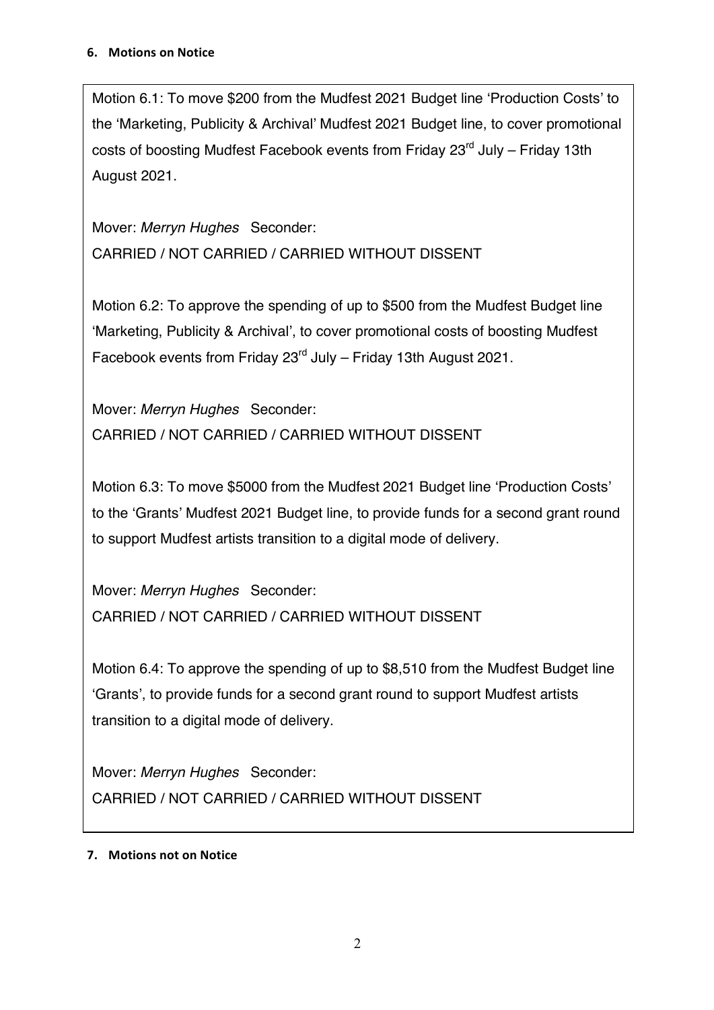Motion 6.1: To move \$200 from the Mudfest 2021 Budget line 'Production Costs' to the 'Marketing, Publicity & Archival' Mudfest 2021 Budget line, to cover promotional costs of boosting Mudfest Facebook events from Friday 23<sup>rd</sup> July – Friday 13th August 2021.

Mover: *Merryn Hughes* Seconder: CARRIED / NOT CARRIED / CARRIED WITHOUT DISSENT

Motion 6.2: To approve the spending of up to \$500 from the Mudfest Budget line 'Marketing, Publicity & Archival', to cover promotional costs of boosting Mudfest Facebook events from Friday  $23<sup>rd</sup>$  July – Friday 13th August 2021.

Mover: *Merryn Hughes* Seconder: CARRIED / NOT CARRIED / CARRIED WITHOUT DISSENT

Motion 6.3: To move \$5000 from the Mudfest 2021 Budget line 'Production Costs' to the 'Grants' Mudfest 2021 Budget line, to provide funds for a second grant round to support Mudfest artists transition to a digital mode of delivery.

Mover: *Merryn Hughes* Seconder: CARRIED / NOT CARRIED / CARRIED WITHOUT DISSENT

Motion 6.4: To approve the spending of up to \$8,510 from the Mudfest Budget line 'Grants', to provide funds for a second grant round to support Mudfest artists transition to a digital mode of delivery.

Mover: *Merryn Hughes* Seconder: CARRIED / NOT CARRIED / CARRIED WITHOUT DISSENT

# **7.** Motions not on Notice